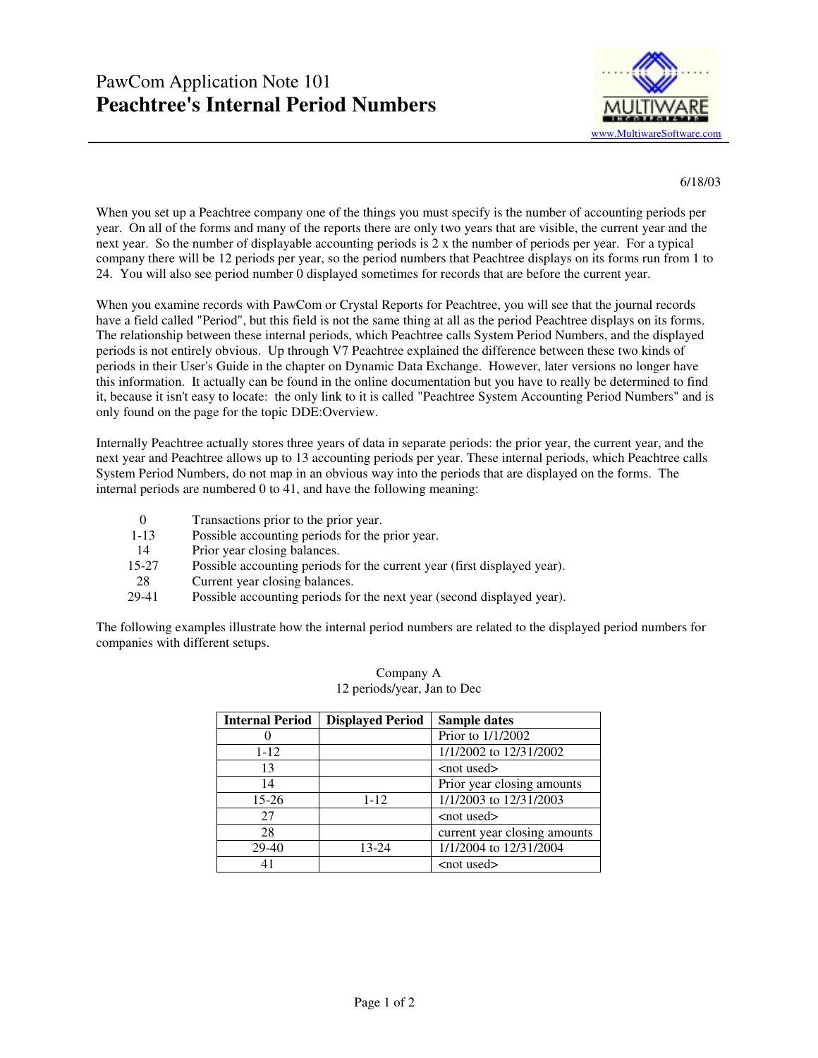

6/18/03

When you set up a Peachtree company one of the things you must specify is the number of accounting periods per year. On all of the forms and many of the reports there are only two years that are visible, the current year and the next year. So the number of displayable accounting periods is 2 x the number of periods per year. For a typical company there will be 12 periods per year, so the period numbers that Peachtree displays on its forms run from 1 to 24. You will also see period number 0 displayed sometimes for records that are before the current year.

When you examine records with PawCom or Crystal Reports for Peachtree, you will see that the journal records have a field called "Period", but this field is not the same thing at all as the period Peachtree displays on its forms. The relationship between these internal periods, which Peachtree calls System Period Numbers, and the displayed periods is not entirely obvious. Up through V7 Peachtree explained the difference between these two kinds of periods in their User's Guide in the chapter on Dynamic Data Exchange. However, later versions no longer have this information. It actually can be found in the online documentation but you have to really be determined to find it, because it isn't easy to locate: the only link to it is called "Peachtree System Accounting Period Numbers" and is only found on the page for the topic DDE:Overview.

Internally Peachtree actually stores three years of data in separate periods: the prior year, the current year, and the next year and Peachtree allows up to 13 accounting periods per year. These internal periods, which Peachtree calls System Period Numbers, do not map in an obvious way into the periods that are displayed on the forms. The internal periods are numbered 0 to 41, and have the following meaning:

- 0 Transactions prior to the prior year.
- 1-13 Possible accounting periods for the prior year.
- 14 Prior year closing balances.
- 15-27 Possible accounting periods for the current year (first displayed year).
- 28 Current year closing balances.
- 29-41 Possible accounting periods for the next year (second displayed year).

The following examples illustrate how the internal period numbers are related to the displayed period numbers for companies with different setups.

| <b>Internal Period</b> | <b>Displayed Period</b> | Sample dates                 |
|------------------------|-------------------------|------------------------------|
|                        |                         | Prior to 1/1/2002            |
| $1 - 12$               |                         | 1/1/2002 to 12/31/2002       |
| 13                     |                         | <not used=""></not>          |
| 14                     |                         | Prior year closing amounts   |
| 15-26                  | $1 - 12$                | 1/1/2003 to 12/31/2003       |
| 27                     |                         | $<$ not used $>$             |
| 28                     |                         | current year closing amounts |
| $29-40$                | 13-24                   | 1/1/2004 to 12/31/2004       |
| 41                     |                         | $<$ not used $>$             |

## Company A 12 periods/year, Jan to Dec